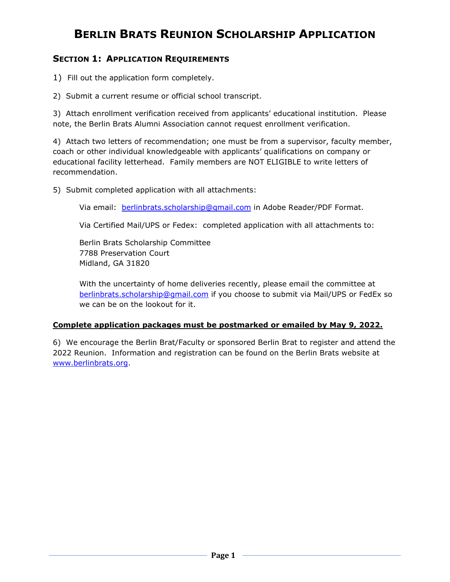# **BERLIN BRATS REUNION SCHOLARSHIP APPLICATION**

### **SECTION 1: APPLICATION REQUIREMENTS**

1) Fill out the application form completely.

2) Submit a current resume or official school transcript.

3) Attach enrollment verification received from applicants' educational institution. Please note, the Berlin Brats Alumni Association cannot request enrollment verification.

4) Attach two letters of recommendation; one must be from a supervisor, faculty member, coach or other individual knowledgeable with applicants' qualifications on company or educational facility letterhead. Family members are NOT ELIGIBLE to write letters of recommendation.

5) Submit completed application with all attachments:

Via email: [berlinbrats.scholarship@gmail.com](mailto:berlinbrats.scholarship@gmail.com) in Adobe Reader/PDF Format.

Via Certified Mail/UPS or Fedex: completed application with all attachments to:

Berlin Brats Scholarship Committee 7788 Preservation Court Midland, GA 31820

With the uncertainty of home deliveries recently, please email the committee at [berlinbrats.scholarship@gmail.com](mailto:berlinbrats.scholarship@gmail.com) if you choose to submit via Mail/UPS or FedEx so we can be on the lookout for it.

#### **Complete application packages must be postmarked or emailed by May 9, 2022.**

6) We encourage the Berlin Brat/Faculty or sponsored Berlin Brat to register and attend the 2022 Reunion. Information and registration can be found on the Berlin Brats website at [www.berlinbrats.org.](http://www.berlinbrats.org/)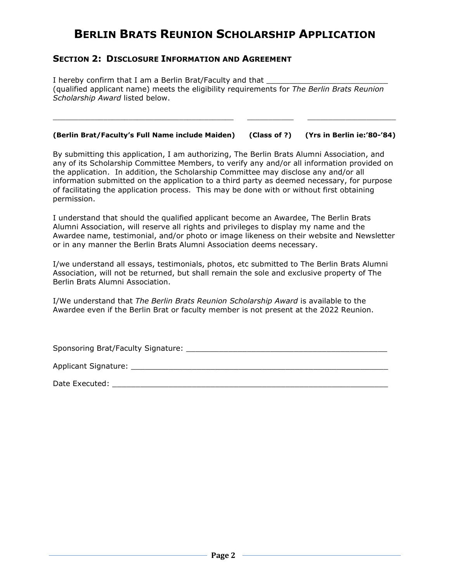## **BERLIN BRATS REUNION SCHOLARSHIP APPLICATION**

#### **SECTION 2: DISCLOSURE INFORMATION AND AGREEMENT**

I hereby confirm that I am a Berlin Brat/Faculty and that (qualified applicant name) meets the eligibility requirements for *The Berlin Brats Reunion Scholarship Award* listed below.

#### **(Berlin Brat/Faculty's Full Name include Maiden) (Class of ?) (Yrs in Berlin ie:'80-'84)**

\_\_\_\_\_\_\_\_\_\_\_\_\_\_\_\_\_\_\_\_\_\_\_\_\_\_\_\_\_\_\_\_\_\_\_\_\_\_\_\_\_\_\_ \_\_\_\_\_\_\_\_\_\_\_ \_\_\_\_\_\_\_\_\_\_\_\_\_\_\_\_\_\_\_\_\_

By submitting this application, I am authorizing, The Berlin Brats Alumni Association, and any of its Scholarship Committee Members, to verify any and/or all information provided on the application. In addition, the Scholarship Committee may disclose any and/or all information submitted on the application to a third party as deemed necessary, for purpose of facilitating the application process. This may be done with or without first obtaining permission.

I understand that should the qualified applicant become an Awardee, The Berlin Brats Alumni Association, will reserve all rights and privileges to display my name and the Awardee name, testimonial, and/or photo or image likeness on their website and Newsletter or in any manner the Berlin Brats Alumni Association deems necessary.

I/we understand all essays, testimonials, photos, etc submitted to The Berlin Brats Alumni Association, will not be returned, but shall remain the sole and exclusive property of The Berlin Brats Alumni Association.

I/We understand that *The Berlin Brats Reunion Scholarship Award* is available to the Awardee even if the Berlin Brat or faculty member is not present at the 2022 Reunion.

Sponsoring Brat/Faculty Signature: **Example 2018** 

Applicant Signature:

| Date Executed: |  |
|----------------|--|
|                |  |